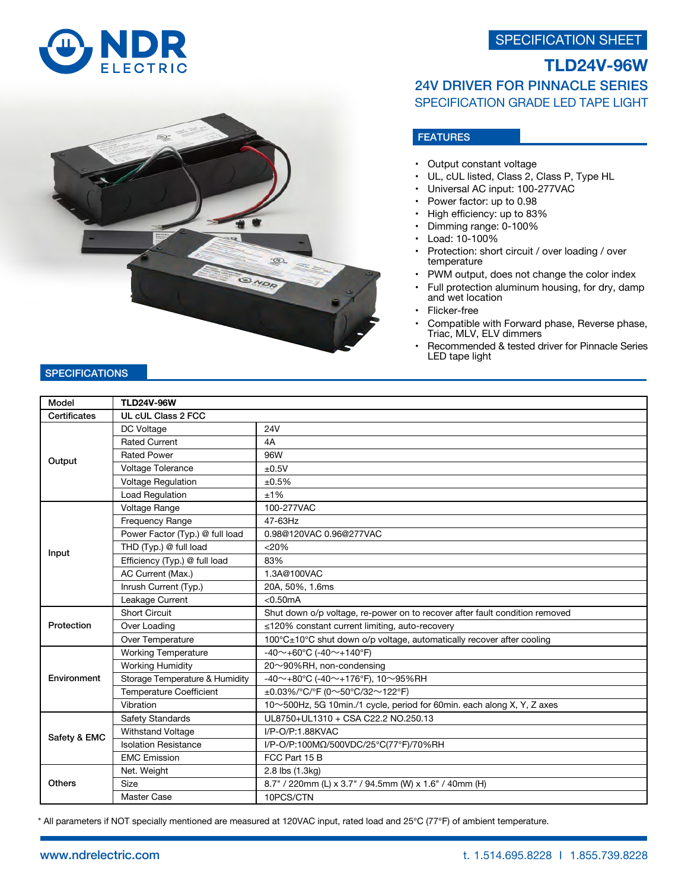SPECIFICATION SHEET





## **TLD24V-96W** 24V DRIVER FOR PINNACLE SERIES SPECIFICATION GRADE LED TAPE LIGHT

## **FEATURES**

- Output constant voltage
- UL, cUL listed, Class 2, Class P, Type HL
- Universal AC input: 100-277VAC
- Power factor: up to 0.98
- High efficiency: up to 83%
- Dimming range: 0-100%
- Load: 10-100%
- Protection: short circuit / over loading / over temperature
- PWM output, does not change the color index
- Full protection aluminum housing, for dry, damp and wet location
- Flicker-free
- Compatible with Forward phase, Reverse phase, Triac, MLV, ELV dimmers
- Recommended & tested driver for Pinnacle Series LED tape light

| Model         | <b>TLD24V-96W</b>               |                                                                             |  |
|---------------|---------------------------------|-----------------------------------------------------------------------------|--|
| Certificates  | UL cUL Class 2 FCC              |                                                                             |  |
| Output        | DC Voltage                      | <b>24V</b>                                                                  |  |
|               | <b>Rated Current</b>            | 4A                                                                          |  |
|               | <b>Rated Power</b>              | 96W                                                                         |  |
|               | Voltage Tolerance               | ±0.5V                                                                       |  |
|               | <b>Voltage Regulation</b>       | ±0.5%                                                                       |  |
|               | Load Regulation                 | ±1%                                                                         |  |
| Input         | Voltage Range                   | 100-277VAC                                                                  |  |
|               | Frequency Range                 | 47-63Hz                                                                     |  |
|               | Power Factor (Typ.) @ full load | 0.98@120VAC 0.96@277VAC                                                     |  |
|               | THD (Typ.) @ full load          | < 20%                                                                       |  |
|               | Efficiency (Typ.) @ full load   | 83%                                                                         |  |
|               | AC Current (Max.)               | 1.3A@100VAC                                                                 |  |
|               | Inrush Current (Typ.)           | 20A, 50%, 1.6ms                                                             |  |
|               | Leakage Current                 | < 0.50mA                                                                    |  |
| Protection    | <b>Short Circuit</b>            | Shut down o/p voltage, re-power on to recover after fault condition removed |  |
|               | Over Loading                    | ≤120% constant current limiting, auto-recovery                              |  |
|               | Over Temperature                | 100°C±10°C shut down o/p voltage, automatically recover after cooling       |  |
| Environment   | <b>Working Temperature</b>      | -40 $\sim$ +60°C (-40 $\sim$ +140°F)                                        |  |
|               | <b>Working Humidity</b>         | 20~90%RH, non-condensing                                                    |  |
|               | Storage Temperature & Humidity  | -40~+80°C (-40~+176°F), 10~95%RH                                            |  |
|               | <b>Temperature Coefficient</b>  | ±0.03%/°C/°F (0~50°C/32~122°F)                                              |  |
|               | Vibration                       | 10~500Hz, 5G 10min./1 cycle, period for 60min. each along X, Y, Z axes      |  |
| Safety & EMC  | Safety Standards                | UL8750+UL1310 + CSA C22.2 NO.250.13                                         |  |
|               | <b>Withstand Voltage</b>        | I/P-O/P:1.88KVAC                                                            |  |
|               | <b>Isolation Resistance</b>     | I/P-O/P:100MΩ/500VDC/25°C(77°F)/70%RH                                       |  |
|               | <b>EMC Emission</b>             | FCC Part 15 B                                                               |  |
| <b>Others</b> | Net. Weight                     | 2.8 lbs (1.3kg)                                                             |  |
|               | Size                            | 8.7" / 220mm (L) x 3.7" / 94.5mm (W) x 1.6" / 40mm (H)                      |  |
|               | Master Case                     | 10PCS/CTN                                                                   |  |

\* All parameters if NOT specially mentioned are measured at 120VAC input, rated load and 25℃ (77℉) of ambient temperature.